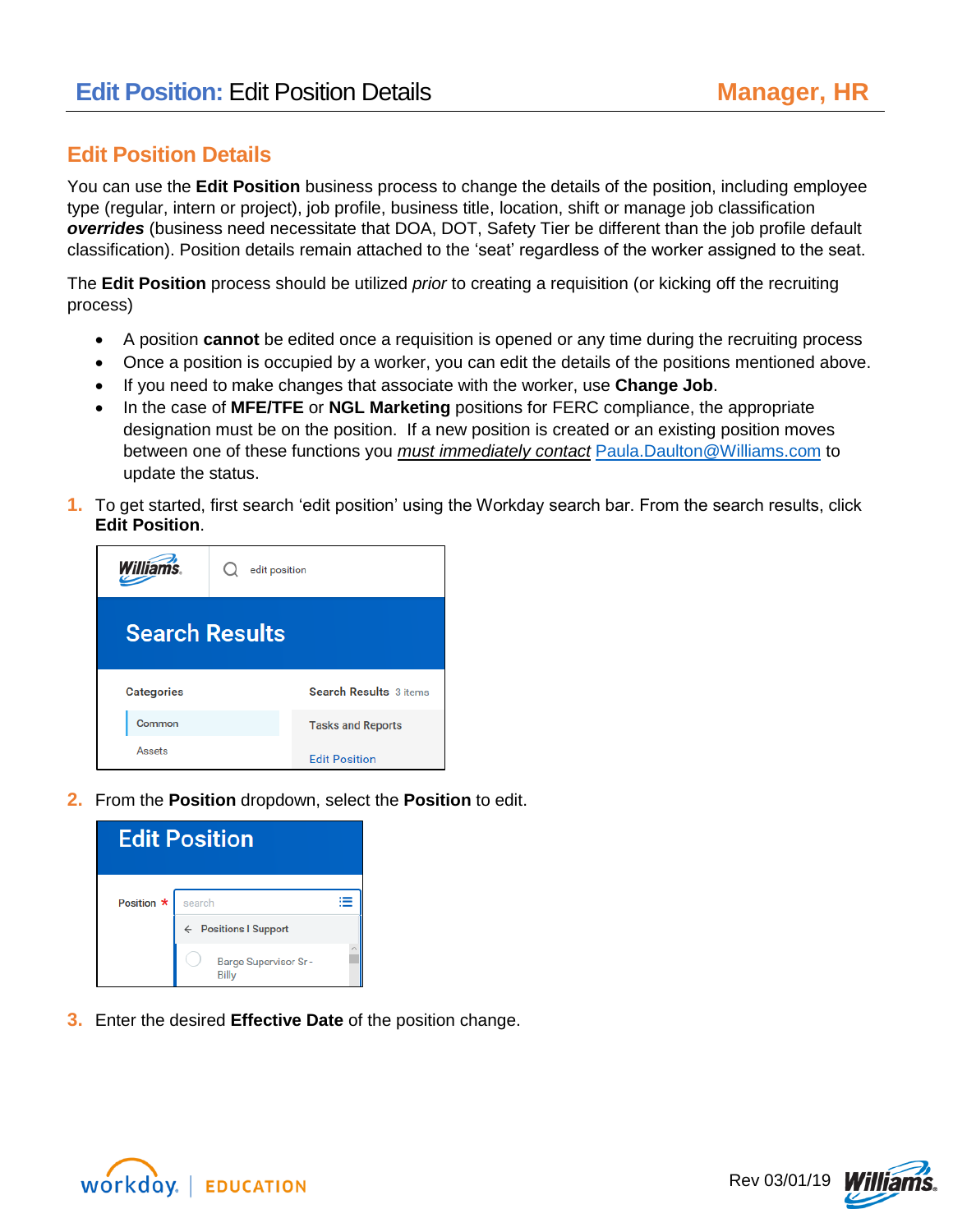## **Edit Position Details**

You can use the **Edit Position** business process to change the details of the position, including employee type (regular, intern or project), job profile, business title, location, shift or manage job classification *overrides* (business need necessitate that DOA, DOT, Safety Tier be different than the job profile default classification). Position details remain attached to the 'seat' regardless of the worker assigned to the seat.

The **Edit Position** process should be utilized *prior* to creating a requisition (or kicking off the recruiting process)

- A position **cannot** be edited once a requisition is opened or any time during the recruiting process
- Once a position is occupied by a worker, you can edit the details of the positions mentioned above.
- If you need to make changes that associate with the worker, use **Change Job**.
- In the case of **MFE/TFE** or **NGL Marketing** positions for FERC compliance, the appropriate designation must be on the position. If a new position is created or an existing position moves between one of these functions you *must immediately contact* [Paula.Daulton@Williams.com](mailto:Paula.Daulton@Williams.com) to update the status.
- **1.** To get started, first search 'edit position' using the Workday search bar. From the search results, click **Edit Position**.



**2.** From the **Position** dropdown, select the **Position** to edit.

| <b>Edit Position</b> |                                             |  |  |
|----------------------|---------------------------------------------|--|--|
| Position *           | search                                      |  |  |
|                      | ← Positions I Support                       |  |  |
|                      | <b>Barge Supervisor Sr-</b><br><b>Billy</b> |  |  |

**3.** Enter the desired **Effective Date** of the position change.



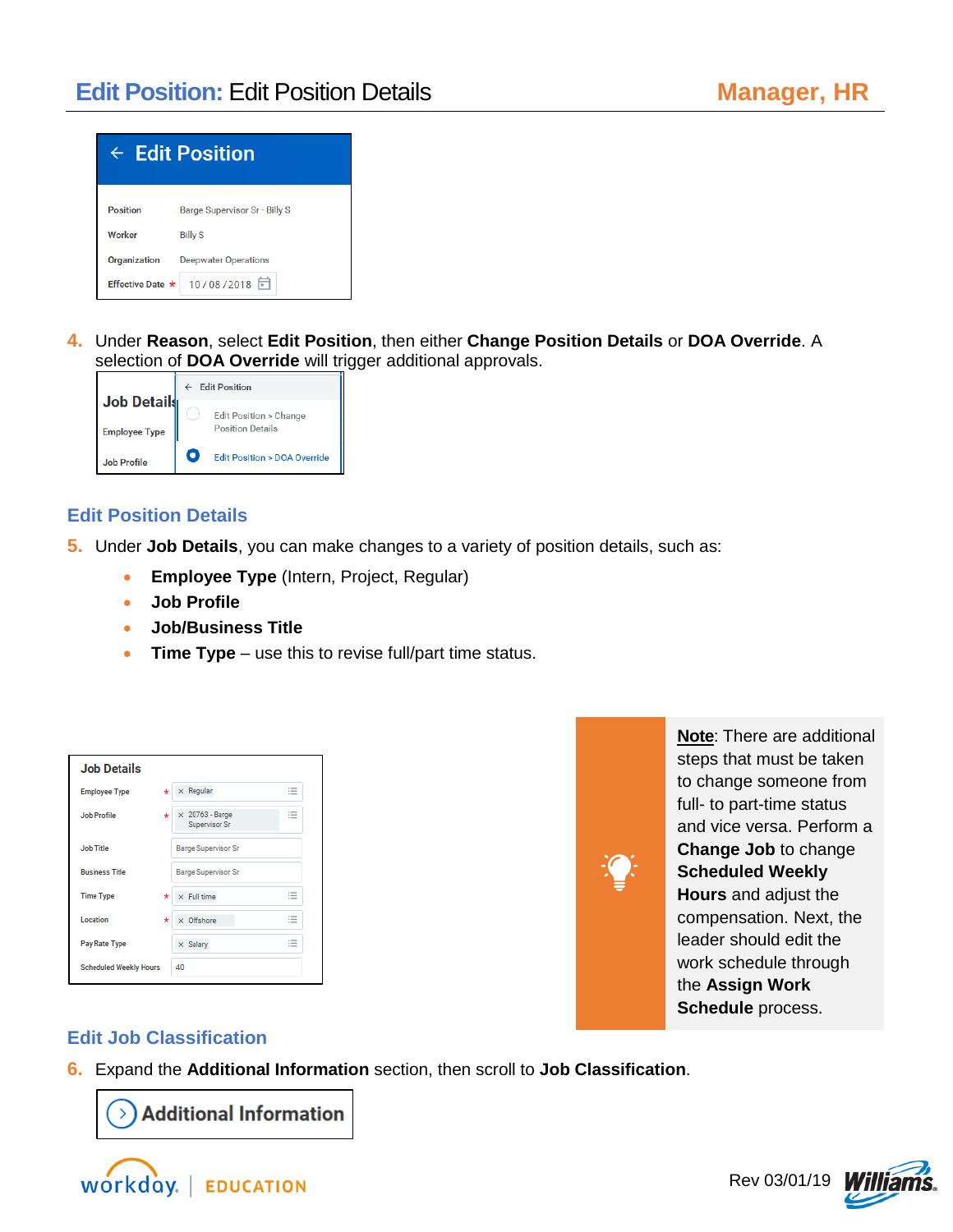

**4.** Under **Reason**, select **Edit Position**, then either **Change Position Details** or **DOA Override**. A selection of **DOA Override** will trigger additional approvals.



## **Edit Position Details**

- **5.** Under **Job Details**, you can make changes to a variety of position details, such as:
	- **Employee Type** (Intern, Project, Regular)
	- **Job Profile**
	- **Job/Business Title**
	- **Time Type**  use this to revise full/part time status.

| <b>Job Details</b>            |                                                                           |
|-------------------------------|---------------------------------------------------------------------------|
| <b>Employee Type</b>          | $\times$ Regular<br>$\sim$<br>$^\star$<br>$\overline{\phantom{a}}$<br>$-$ |
| Job Profile                   | $\sim$<br>$\times$ 20763 - Barge<br>$\ast$<br>$-$<br>$-$<br>Supervisor Sr |
| <b>Job Title</b>              | <b>Barge Supervisor Sr</b>                                                |
| <b>Business Title</b>         | <b>Barge Supervisor Sr</b>                                                |
| <b>Time Type</b>              | $\sim$<br>$\times$ Full time<br>$^\star$<br>$-$<br>1.5000                 |
| Location                      | $\sim$<br>$\times$ Offshore<br>$\star$<br>$-$<br><b>COMPANY</b>           |
| Pay Rate Type                 | $\cdots$<br>$\times$ Salary<br>$-$<br>$=$                                 |
| <b>Scheduled Weekly Hours</b> | 40                                                                        |



**Note**: There are additional steps that must be taken to change someone from full- to part-time status and vice versa. Perform a **Change Job** to change **Scheduled Weekly Hours** and adjust the compensation. Next, the leader should edit the work schedule through the **Assign Work Schedule** process.

## **Edit Job Classification**

**6.** Expand the **Additional Information** section, then scroll to **Job Classification**.

 $\rightarrow$  Additional Information